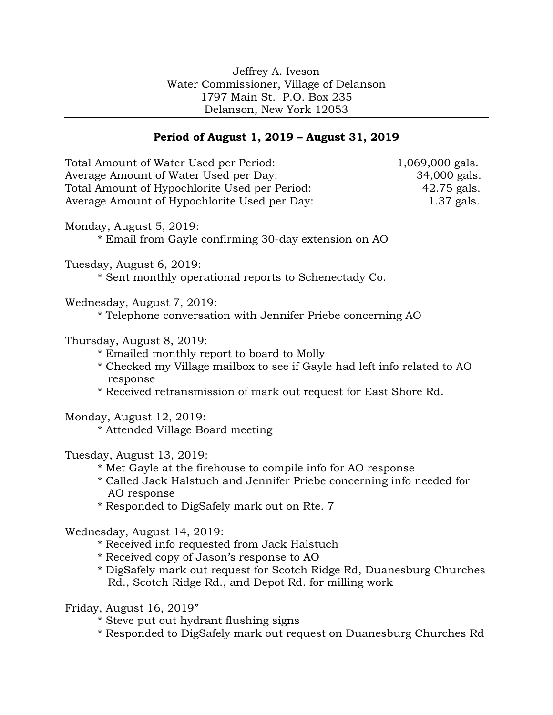## **Period of August 1, 2019 – August 31, 2019**

| Total Amount of Water Used per Period:<br>Average Amount of Water Used per Day:<br>Total Amount of Hypochlorite Used per Period:<br>Average Amount of Hypochlorite Used per Day:                                                                           | 1,069,000 gals.<br>34,000 gals.<br>42.75 gals.<br>1.37 gals. |
|------------------------------------------------------------------------------------------------------------------------------------------------------------------------------------------------------------------------------------------------------------|--------------------------------------------------------------|
| Monday, August 5, 2019:<br>* Email from Gayle confirming 30-day extension on AO                                                                                                                                                                            |                                                              |
| Tuesday, August 6, 2019:<br>* Sent monthly operational reports to Schenectady Co.                                                                                                                                                                          |                                                              |
| Wednesday, August 7, 2019:<br>* Telephone conversation with Jennifer Priebe concerning AO                                                                                                                                                                  |                                                              |
| Thursday, August 8, 2019:<br>* Emailed monthly report to board to Molly<br>* Checked my Village mailbox to see if Gayle had left info related to AO<br>response<br>* Received retransmission of mark out request for East Shore Rd.                        |                                                              |
| Monday, August 12, 2019:<br>* Attended Village Board meeting                                                                                                                                                                                               |                                                              |
| Tuesday, August 13, 2019:<br>* Met Gayle at the firehouse to compile info for AO response<br>* Called Jack Halstuch and Jennifer Priebe concerning info needed for<br>AO response<br>* Responded to DigSafely mark out on Rte. 7                           |                                                              |
| Wednesday, August 14, 2019:<br>* Received info requested from Jack Halstuch<br>* Received copy of Jason's response to AO<br>* DigSafely mark out request for Scotch Ridge Rd, Duanesburg Churches<br>Rd., Scotch Ridge Rd., and Depot Rd. for milling work |                                                              |
| Friday, August 16, 2019"                                                                                                                                                                                                                                   |                                                              |

- \* Steve put out hydrant flushing signs
- \* Responded to DigSafely mark out request on Duanesburg Churches Rd